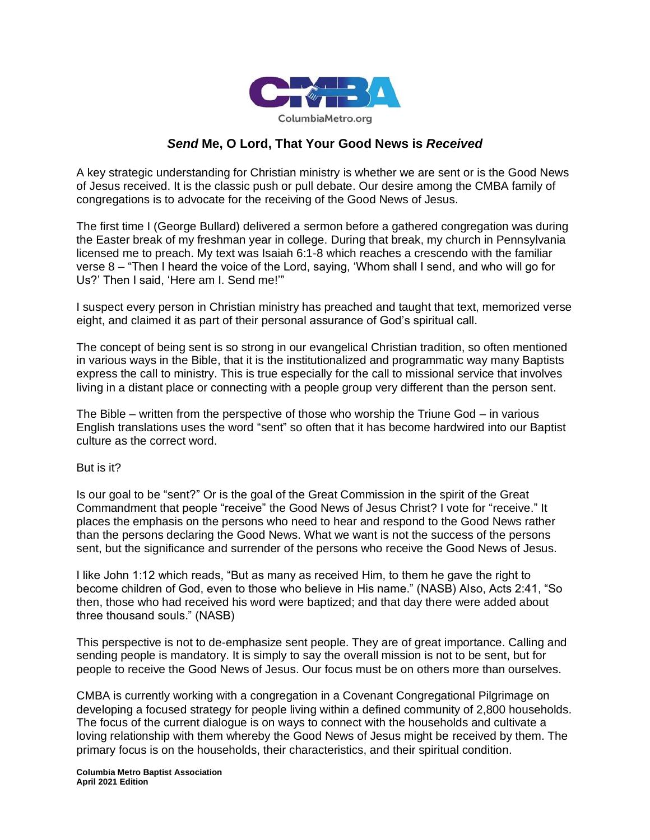

## *Send* **Me, O Lord, That Your Good News is** *Received*

A key strategic understanding for Christian ministry is whether we are sent or is the Good News of Jesus received. It is the classic push or pull debate. Our desire among the CMBA family of congregations is to advocate for the receiving of the Good News of Jesus.

The first time I (George Bullard) delivered a sermon before a gathered congregation was during the Easter break of my freshman year in college. During that break, my church in Pennsylvania licensed me to preach. My text was Isaiah 6:1-8 which reaches a crescendo with the familiar verse 8 – "Then I heard the voice of the Lord, saying, 'Whom shall I send, and who will go for Us?' Then I said, 'Here am I. Send me!'"

I suspect every person in Christian ministry has preached and taught that text, memorized verse eight, and claimed it as part of their personal assurance of God's spiritual call.

The concept of being sent is so strong in our evangelical Christian tradition, so often mentioned in various ways in the Bible, that it is the institutionalized and programmatic way many Baptists express the call to ministry. This is true especially for the call to missional service that involves living in a distant place or connecting with a people group very different than the person sent.

The Bible – written from the perspective of those who worship the Triune God – in various English translations uses the word "sent" so often that it has become hardwired into our Baptist culture as the correct word.

## But is it?

Is our goal to be "sent?" Or is the goal of the Great Commission in the spirit of the Great Commandment that people "receive" the Good News of Jesus Christ? I vote for "receive." It places the emphasis on the persons who need to hear and respond to the Good News rather than the persons declaring the Good News. What we want is not the success of the persons sent, but the significance and surrender of the persons who receive the Good News of Jesus.

I like John 1:12 which reads, "But as many as received Him, to them he gave the right to become children of God, even to those who believe in His name." (NASB) Also, Acts 2:41, "So then, those who had received his word were baptized; and that day there were added about three thousand souls." (NASB)

This perspective is not to de-emphasize sent people. They are of great importance. Calling and sending people is mandatory. It is simply to say the overall mission is not to be sent, but for people to receive the Good News of Jesus. Our focus must be on others more than ourselves.

CMBA is currently working with a congregation in a Covenant Congregational Pilgrimage on developing a focused strategy for people living within a defined community of 2,800 households. The focus of the current dialogue is on ways to connect with the households and cultivate a loving relationship with them whereby the Good News of Jesus might be received by them. The primary focus is on the households, their characteristics, and their spiritual condition.